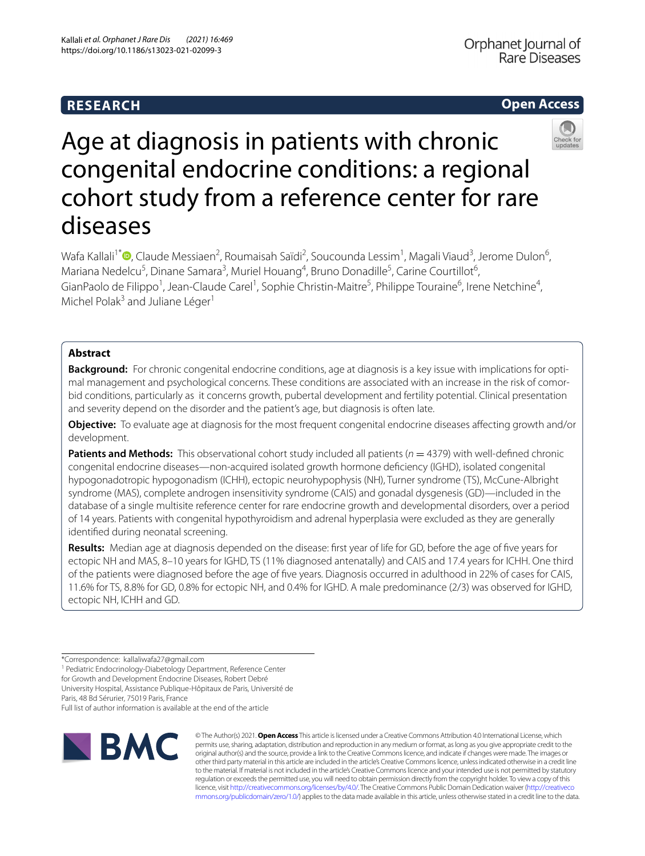# **RESEARCH**



# Age at diagnosis in patients with chronic congenital endocrine conditions: a regional cohort study from a reference center for rare diseases

Wafa Kallali<sup>1\*</sup>®[,](http://orcid.org/0000-0002-4281-8252) Claude Messiaen<sup>2</sup>, Roumaisah Saïdi<sup>2</sup>, Soucounda Lessim<sup>1</sup>, Magali Viaud<sup>3</sup>, Jerome Dulon<sup>6</sup>, Mariana Nedelcu<sup>5</sup>, Dinane Samara<sup>3</sup>, Muriel Houang<sup>4</sup>, Bruno Donadille<sup>5</sup>, Carine Courtillot<sup>6</sup>, GianPaolo de Filippo<sup>1</sup>, Jean-Claude Carel<sup>1</sup>, Sophie Christin-Maitre<sup>5</sup>, Philippe Touraine<sup>6</sup>, Irene Netchine<sup>4</sup>, Michel Polak<sup>3</sup> and Juliane Léger<sup>1</sup>

## **Abstract**

**Background:** For chronic congenital endocrine conditions, age at diagnosis is a key issue with implications for optimal management and psychological concerns. These conditions are associated with an increase in the risk of comorbid conditions, particularly as it concerns growth, pubertal development and fertility potential. Clinical presentation and severity depend on the disorder and the patient's age, but diagnosis is often late.

**Objective:** To evaluate age at diagnosis for the most frequent congenital endocrine diseases afecting growth and/or development.

**Patients and Methods:** This observational cohort study included all patients ( $n = 4379$ ) with well-defined chronic congenital endocrine diseases—non-acquired isolated growth hormone defciency (IGHD), isolated congenital hypogonadotropic hypogonadism (ICHH), ectopic neurohypophysis (NH), Turner syndrome (TS), McCune-Albright syndrome (MAS), complete androgen insensitivity syndrome (CAIS) and gonadal dysgenesis (GD)—included in the database of a single multisite reference center for rare endocrine growth and developmental disorders, over a period of 14 years. Patients with congenital hypothyroidism and adrenal hyperplasia were excluded as they are generally identifed during neonatal screening.

**Results:** Median age at diagnosis depended on the disease: frst year of life for GD, before the age of fve years for ectopic NH and MAS, 8–10 years for IGHD, TS (11% diagnosed antenatally) and CAIS and 17.4 years for ICHH. One third of the patients were diagnosed before the age of fve years. Diagnosis occurred in adulthood in 22% of cases for CAIS, 11.6% for TS, 8.8% for GD, 0.8% for ectopic NH, and 0.4% for IGHD. A male predominance (2/3) was observed for IGHD, ectopic NH, ICHH and GD.

University Hospital, Assistance Publique-Hôpitaux de Paris, Université de

Paris, 48 Bd Sérurier, 75019 Paris, France

Full list of author information is available at the end of the article



© The Author(s) 2021. **Open Access** This article is licensed under a Creative Commons Attribution 4.0 International License, which permits use, sharing, adaptation, distribution and reproduction in any medium or format, as long as you give appropriate credit to the original author(s) and the source, provide a link to the Creative Commons licence, and indicate if changes were made. The images or other third party material in this article are included in the article's Creative Commons licence, unless indicated otherwise in a credit line to the material. If material is not included in the article's Creative Commons licence and your intended use is not permitted by statutory regulation or exceeds the permitted use, you will need to obtain permission directly from the copyright holder. To view a copy of this licence, visit [http://creativecommons.org/licenses/by/4.0/.](http://creativecommons.org/licenses/by/4.0/) The Creative Commons Public Domain Dedication waiver ([http://creativeco](http://creativecommons.org/publicdomain/zero/1.0/) [mmons.org/publicdomain/zero/1.0/](http://creativecommons.org/publicdomain/zero/1.0/)) applies to the data made available in this article, unless otherwise stated in a credit line to the data.

<sup>\*</sup>Correspondence: kallaliwafa27@gmail.com

<sup>&</sup>lt;sup>1</sup> Pediatric Endocrinology-Diabetology Department, Reference Center for Growth and Development Endocrine Diseases, Robert Debré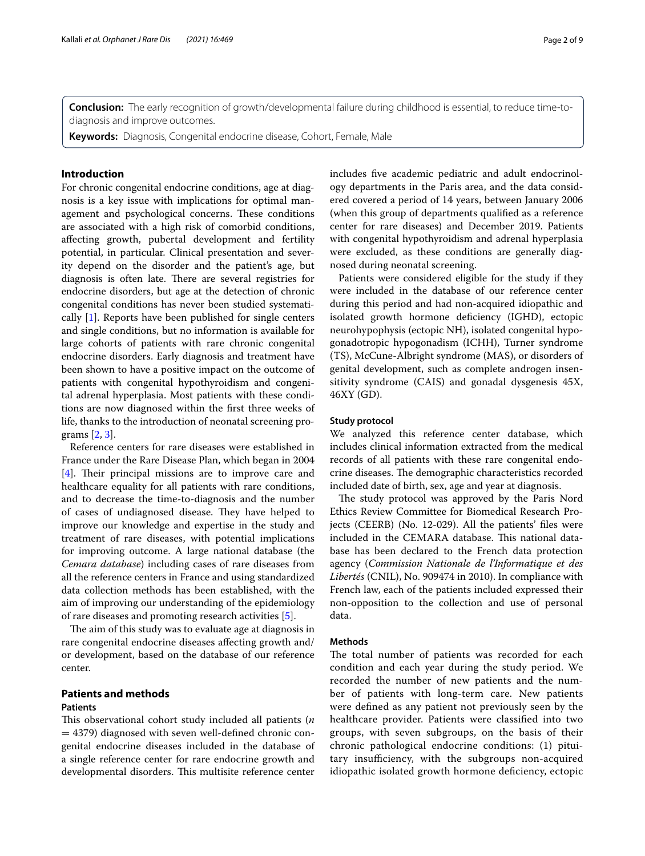**Conclusion:** The early recognition of growth/developmental failure during childhood is essential, to reduce time-todiagnosis and improve outcomes.

**Keywords:** Diagnosis, Congenital endocrine disease, Cohort, Female, Male

## **Introduction**

For chronic congenital endocrine conditions, age at diagnosis is a key issue with implications for optimal management and psychological concerns. These conditions are associated with a high risk of comorbid conditions, afecting growth, pubertal development and fertility potential, in particular. Clinical presentation and severity depend on the disorder and the patient's age, but diagnosis is often late. There are several registries for endocrine disorders, but age at the detection of chronic congenital conditions has never been studied systematically [[1\]](#page-7-0). Reports have been published for single centers and single conditions, but no information is available for large cohorts of patients with rare chronic congenital endocrine disorders. Early diagnosis and treatment have been shown to have a positive impact on the outcome of patients with congenital hypothyroidism and congenital adrenal hyperplasia. Most patients with these conditions are now diagnosed within the frst three weeks of life, thanks to the introduction of neonatal screening programs [\[2](#page-7-1), [3\]](#page-7-2).

Reference centers for rare diseases were established in France under the Rare Disease Plan, which began in 2004  $[4]$  $[4]$ . Their principal missions are to improve care and healthcare equality for all patients with rare conditions, and to decrease the time-to-diagnosis and the number of cases of undiagnosed disease. They have helped to improve our knowledge and expertise in the study and treatment of rare diseases, with potential implications for improving outcome. A large national database (the *Cemara database*) including cases of rare diseases from all the reference centers in France and using standardized data collection methods has been established, with the aim of improving our understanding of the epidemiology of rare diseases and promoting research activities [\[5](#page-7-4)].

The aim of this study was to evaluate age at diagnosis in rare congenital endocrine diseases afecting growth and/ or development, based on the database of our reference center.

## **Patients and methods**

## **Patients**

This observational cohort study included all patients (*n*  $=$  4379) diagnosed with seven well-defined chronic congenital endocrine diseases included in the database of a single reference center for rare endocrine growth and developmental disorders. This multisite reference center includes fve academic pediatric and adult endocrinology departments in the Paris area, and the data considered covered a period of 14 years, between January 2006 (when this group of departments qualifed as a reference center for rare diseases) and December 2019. Patients with congenital hypothyroidism and adrenal hyperplasia were excluded, as these conditions are generally diagnosed during neonatal screening.

Patients were considered eligible for the study if they were included in the database of our reference center during this period and had non-acquired idiopathic and isolated growth hormone defciency (IGHD), ectopic neurohypophysis (ectopic NH), isolated congenital hypogonadotropic hypogonadism (ICHH), Turner syndrome (TS), McCune-Albright syndrome (MAS), or disorders of genital development, such as complete androgen insensitivity syndrome (CAIS) and gonadal dysgenesis 45X, 46XY (GD).

### **Study protocol**

We analyzed this reference center database, which includes clinical information extracted from the medical records of all patients with these rare congenital endocrine diseases. The demographic characteristics recorded included date of birth, sex, age and year at diagnosis.

The study protocol was approved by the Paris Nord Ethics Review Committee for Biomedical Research Projects (CEERB) (No. 12-029). All the patients' fles were included in the CEMARA database. This national database has been declared to the French data protection agency (*Commission Nationale de l'Informatique et des Libertés* (CNIL), No. 909474 in 2010). In compliance with French law, each of the patients included expressed their non-opposition to the collection and use of personal data.

## **Methods**

The total number of patients was recorded for each condition and each year during the study period. We recorded the number of new patients and the number of patients with long-term care. New patients were defned as any patient not previously seen by the healthcare provider. Patients were classifed into two groups, with seven subgroups, on the basis of their chronic pathological endocrine conditions: (1) pituitary insufficiency, with the subgroups non-acquired idiopathic isolated growth hormone deficiency, ectopic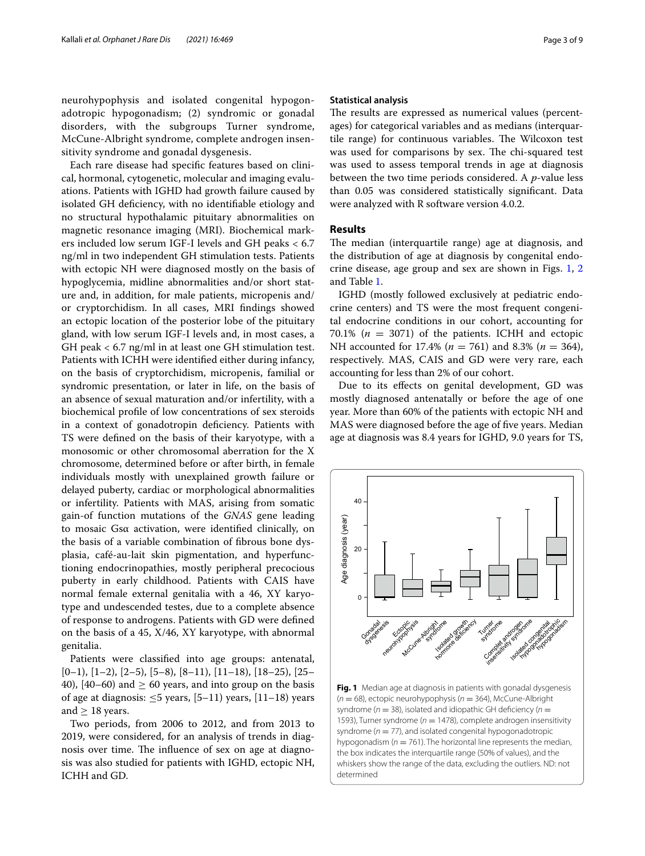neurohypophysis and isolated congenital hypogonadotropic hypogonadism; (2) syndromic or gonadal disorders, with the subgroups Turner syndrome, McCune-Albright syndrome, complete androgen insensitivity syndrome and gonadal dysgenesis.

Each rare disease had specifc features based on clinical, hormonal, cytogenetic, molecular and imaging evaluations. Patients with IGHD had growth failure caused by isolated GH defciency, with no identifable etiology and no structural hypothalamic pituitary abnormalities on magnetic resonance imaging (MRI). Biochemical markers included low serum IGF-I levels and GH peaks < 6.7 ng/ml in two independent GH stimulation tests. Patients with ectopic NH were diagnosed mostly on the basis of hypoglycemia, midline abnormalities and/or short stature and, in addition, for male patients, micropenis and/ or cryptorchidism. In all cases, MRI fndings showed an ectopic location of the posterior lobe of the pituitary gland, with low serum IGF-I levels and, in most cases, a GH peak < 6.7 ng/ml in at least one GH stimulation test. Patients with ICHH were identifed either during infancy, on the basis of cryptorchidism, micropenis, familial or syndromic presentation, or later in life, on the basis of an absence of sexual maturation and/or infertility, with a biochemical profle of low concentrations of sex steroids in a context of gonadotropin defciency. Patients with TS were defned on the basis of their karyotype, with a monosomic or other chromosomal aberration for the X chromosome, determined before or after birth, in female individuals mostly with unexplained growth failure or delayed puberty, cardiac or morphological abnormalities or infertility. Patients with MAS, arising from somatic gain-of function mutations of the *GNAS* gene leading to mosaic Gsα activation, were identifed clinically, on the basis of a variable combination of fbrous bone dysplasia, café-au-lait skin pigmentation, and hyperfunctioning endocrinopathies, mostly peripheral precocious puberty in early childhood. Patients with CAIS have normal female external genitalia with a 46, XY karyotype and undescended testes, due to a complete absence of response to androgens. Patients with GD were defned on the basis of a 45, X/46, XY karyotype, with abnormal genitalia.

Patients were classifed into age groups: antenatal,  $[0-1), [1-2), [2-5), [5-8), [8-11), [11-18), [18-25), [25-$ 40), [40–60) and  $\geq$  60 years, and into group on the basis of age at diagnosis: ≤5 years,  $[5-11)$  years,  $[11-18)$  years and  $\geq$  18 years.

Two periods, from 2006 to 2012, and from 2013 to 2019, were considered, for an analysis of trends in diagnosis over time. The influence of sex on age at diagnosis was also studied for patients with IGHD, ectopic NH, ICHH and GD.

#### **Statistical analysis**

The results are expressed as numerical values (percentages) for categorical variables and as medians (interquartile range) for continuous variables. The Wilcoxon test was used for comparisons by sex. The chi-squared test was used to assess temporal trends in age at diagnosis between the two time periods considered. A *p*-value less than 0.05 was considered statistically signifcant. Data were analyzed with R software version 4.0.2.

## **Results**

The median (interquartile range) age at diagnosis, and the distribution of age at diagnosis by congenital endocrine disease, age group and sex are shown in Figs. [1](#page-2-0), [2](#page-3-0) and Table [1.](#page-5-0)

IGHD (mostly followed exclusively at pediatric endocrine centers) and TS were the most frequent congenital endocrine conditions in our cohort, accounting for 70.1% ( $n = 3071$ ) of the patients. ICHH and ectopic NH accounted for 17.4% (*n* = 761) and 8.3% (*n* = 364), respectively. MAS, CAIS and GD were very rare, each accounting for less than 2% of our cohort.

Due to its efects on genital development, GD was mostly diagnosed antenatally or before the age of one year. More than 60% of the patients with ectopic NH and MAS were diagnosed before the age of fve years. Median age at diagnosis was 8.4 years for IGHD, 9.0 years for TS,



<span id="page-2-0"></span>**Fig. 1** Median age at diagnosis in patients with gonadal dysgenesis (*n* = 68), ectopic neurohypophysis (*n* = 364), McCune-Albright syndrome ( $n = 38$ ), isolated and idiopathic GH deficiency ( $n =$ 1593), Turner syndrome ( $n = 1478$ ), complete androgen insensitivity syndrome ( $n = 77$ ), and isolated congenital hypogonadotropic hypogonadism ( $n = 761$ ). The horizontal line represents the median, the box indicates the interquartile range (50% of values), and the whiskers show the range of the data, excluding the outliers. ND: not determined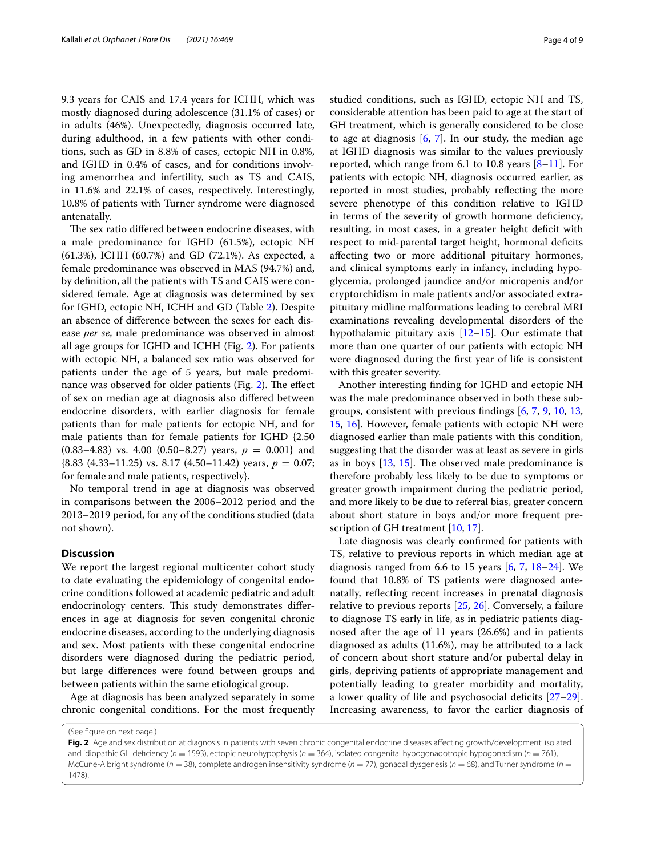9.3 years for CAIS and 17.4 years for ICHH, which was mostly diagnosed during adolescence (31.1% of cases) or in adults (46%). Unexpectedly, diagnosis occurred late, during adulthood, in a few patients with other conditions, such as GD in 8.8% of cases, ectopic NH in 0.8%, and IGHD in 0.4% of cases, and for conditions involving amenorrhea and infertility, such as TS and CAIS, in 11.6% and 22.1% of cases, respectively. Interestingly, 10.8% of patients with Turner syndrome were diagnosed antenatally.

The sex ratio differed between endocrine diseases, with a male predominance for IGHD (61.5%), ectopic NH (61.3%), ICHH (60.7%) and GD (72.1%). As expected, a female predominance was observed in MAS (94.7%) and, by defnition, all the patients with TS and CAIS were considered female. Age at diagnosis was determined by sex for IGHD, ectopic NH, ICHH and GD (Table [2](#page-5-1)). Despite an absence of diference between the sexes for each disease *per se*, male predominance was observed in almost all age groups for IGHD and ICHH (Fig. [2\)](#page-3-0). For patients with ectopic NH, a balanced sex ratio was observed for patients under the age of 5 years, but male predomi-nance was observed for older patients (Fig. [2\)](#page-3-0). The effect of sex on median age at diagnosis also difered between endocrine disorders, with earlier diagnosis for female patients than for male patients for ectopic NH, and for male patients than for female patients for IGHD {2.50  $(0.83-4.83)$  vs. 4.00  $(0.50-8.27)$  years,  $p = 0.001$ } and  $(8.83 \ (4.33-11.25) \ vs. \ 8.17 \ (4.50-11.42) \ years, p = 0.07;$ for female and male patients, respectively}.

No temporal trend in age at diagnosis was observed in comparisons between the 2006–2012 period and the 2013–2019 period, for any of the conditions studied (data not shown).

## **Discussion**

We report the largest regional multicenter cohort study to date evaluating the epidemiology of congenital endocrine conditions followed at academic pediatric and adult endocrinology centers. This study demonstrates differences in age at diagnosis for seven congenital chronic endocrine diseases, according to the underlying diagnosis and sex. Most patients with these congenital endocrine disorders were diagnosed during the pediatric period, but large diferences were found between groups and between patients within the same etiological group.

Age at diagnosis has been analyzed separately in some chronic congenital conditions. For the most frequently

studied conditions, such as IGHD, ectopic NH and TS, considerable attention has been paid to age at the start of GH treatment, which is generally considered to be close to age at diagnosis  $[6, 7]$  $[6, 7]$  $[6, 7]$  $[6, 7]$ . In our study, the median age at IGHD diagnosis was similar to the values previously reported, which range from 6.1 to 10.8 years  $[8-11]$  $[8-11]$  $[8-11]$ . For patients with ectopic NH, diagnosis occurred earlier, as reported in most studies, probably refecting the more severe phenotype of this condition relative to IGHD in terms of the severity of growth hormone defciency, resulting, in most cases, in a greater height deficit with respect to mid-parental target height, hormonal deficits afecting two or more additional pituitary hormones, and clinical symptoms early in infancy, including hypoglycemia, prolonged jaundice and/or micropenis and/or cryptorchidism in male patients and/or associated extrapituitary midline malformations leading to cerebral MRI examinations revealing developmental disorders of the hypothalamic pituitary axis [[12](#page-7-9)[–15](#page-7-10)]. Our estimate that more than one quarter of our patients with ectopic NH were diagnosed during the frst year of life is consistent with this greater severity.

Another interesting fnding for IGHD and ectopic NH was the male predominance observed in both these subgroups, consistent with previous fndings [\[6](#page-7-5), [7](#page-7-6), [9](#page-7-11), [10](#page-7-12), [13](#page-7-13), [15,](#page-7-10) [16\]](#page-7-14). However, female patients with ectopic NH were diagnosed earlier than male patients with this condition, suggesting that the disorder was at least as severe in girls as in boys  $[13, 15]$  $[13, 15]$  $[13, 15]$ . The observed male predominance is therefore probably less likely to be due to symptoms or greater growth impairment during the pediatric period, and more likely to be due to referral bias, greater concern about short stature in boys and/or more frequent pre-scription of GH treatment [\[10,](#page-7-12) [17](#page-7-15)].

Late diagnosis was clearly confrmed for patients with TS, relative to previous reports in which median age at diagnosis ranged from 6.6 to 15 years  $[6, 7, 18-24]$  $[6, 7, 18-24]$  $[6, 7, 18-24]$  $[6, 7, 18-24]$  $[6, 7, 18-24]$  $[6, 7, 18-24]$ . We found that 10.8% of TS patients were diagnosed antenatally, refecting recent increases in prenatal diagnosis relative to previous reports [\[25](#page-7-18), [26](#page-7-19)]. Conversely, a failure to diagnose TS early in life, as in pediatric patients diagnosed after the age of 11 years (26.6%) and in patients diagnosed as adults (11.6%), may be attributed to a lack of concern about short stature and/or pubertal delay in girls, depriving patients of appropriate management and potentially leading to greater morbidity and mortality, a lower quality of life and psychosocial deficits  $[27-29]$  $[27-29]$  $[27-29]$ . Increasing awareness, to favor the earlier diagnosis of

(See fgure on next page.)

<span id="page-3-0"></span>**Fig. 2** Age and sex distribution at diagnosis in patients with seven chronic congenital endocrine diseases afecting growth/development: isolated and idiopathic GH defciency (*n* = 1593), ectopic neurohypophysis (*n* = 364), isolated congenital hypogonadotropic hypogonadism (*n* = 761), McCune-Albright syndrome (*n* = 38), complete androgen insensitivity syndrome (*n* = 77), gonadal dysgenesis (*n* = 68), and Turner syndrome (*n* = 1478).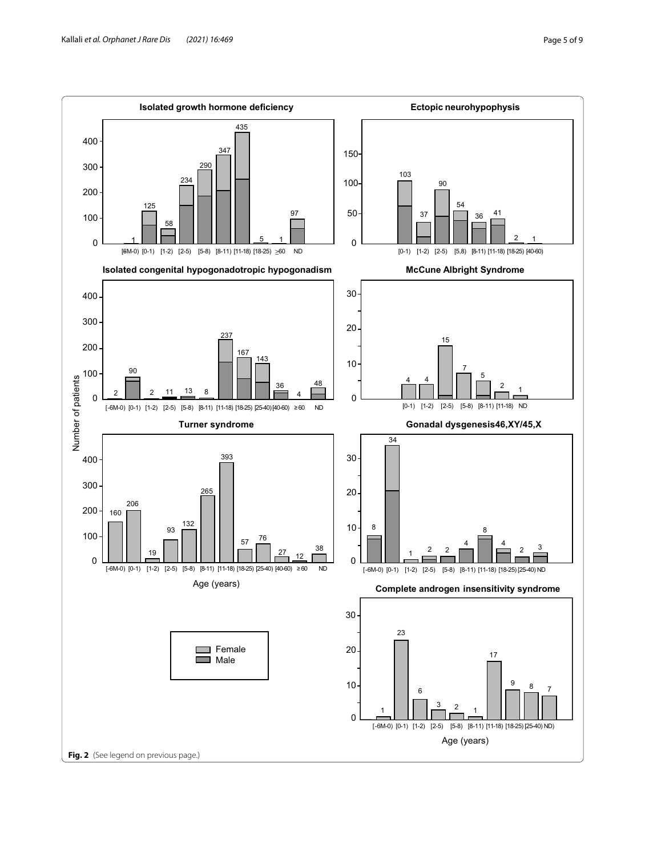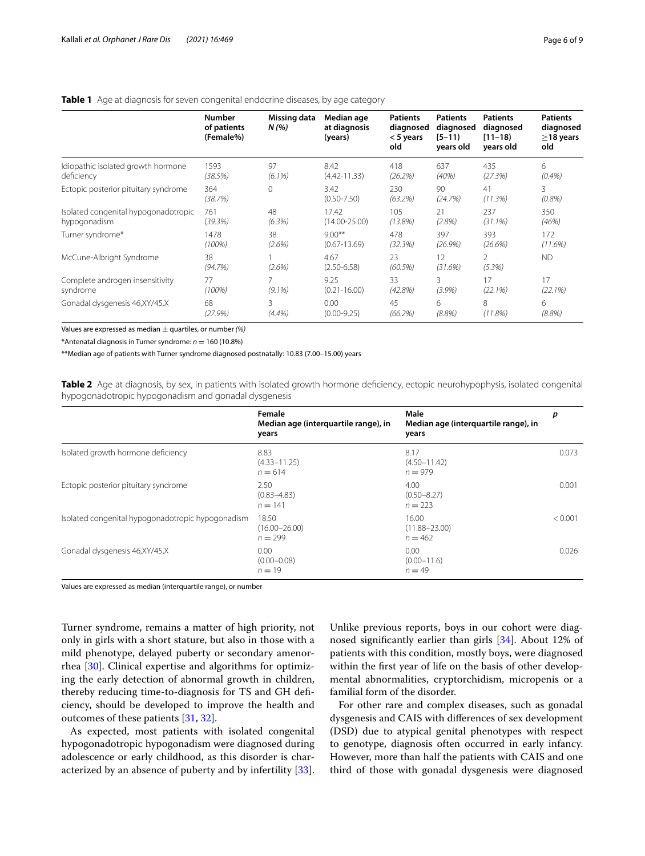|                                      | <b>Number</b><br>of patients<br>(Female%) | Missing data<br>N(%) | Median age<br>at diagnosis<br>(years) | <b>Patients</b><br>diagnosed<br>< 5 years<br>old | <b>Patients</b><br>diagnosed<br>$[5 - 11]$<br>years old | <b>Patients</b><br>diagnosed<br>$[11 - 18]$<br>years old | <b>Patients</b><br>diagnosed<br>$\geq$ 18 years<br>old |
|--------------------------------------|-------------------------------------------|----------------------|---------------------------------------|--------------------------------------------------|---------------------------------------------------------|----------------------------------------------------------|--------------------------------------------------------|
| Idiopathic isolated growth hormone   | 1593                                      | 97                   | 8.42                                  | 418                                              | 637                                                     | 435                                                      | 6                                                      |
| deficiency                           | (38.5%)                                   | $(6.1\%)$            | $(4.42 - 11.33)$                      | (26.2%)                                          | (40%)                                                   | (27.3%)                                                  | (0.4%)                                                 |
| Ectopic posterior pituitary syndrome | 364<br>(38.7%)                            | $\Omega$             | 3.42<br>$(0.50 - 7.50)$               | 230<br>(63.2%)                                   | 90<br>(24.7%)                                           | 41<br>(11.3%)                                            | 3<br>(0.8%)                                            |
| Isolated congenital hypogonadotropic | 761                                       | 48                   | 17.42                                 | 105                                              | 21                                                      | 237                                                      | 350                                                    |
| hypogonadism                         | (39.3%)                                   | (6.3%)               | $(14.00 - 25.00)$                     | (13.8%)                                          | (2.8%)                                                  | $(31.1\%)$                                               | (46%)                                                  |
| Turner syndrome*                     | 1478                                      | 38                   | $9.00**$                              | 478                                              | 397                                                     | 393                                                      | 172                                                    |
|                                      | (100%)                                    | (2.6%)               | $(0.67 - 13.69)$                      | (32.3%)                                          | (26.9%)                                                 | (26.6%)                                                  | (11.6%)                                                |
| McCune-Albright Syndrome             | 38<br>(94.7%)                             | (2.6%)               | 4.67<br>$(2.50 - 6.58)$               | 23<br>(60.5%)                                    | 12<br>(31.6%)                                           | 2<br>(5.3%)                                              | <b>ND</b>                                              |
| Complete androgen insensitivity      | 77                                        | 7                    | 9.25                                  | 33                                               | 3                                                       | 17                                                       | 17                                                     |
| syndrome                             | $(100\%)$                                 | $(9.1\%)$            | $(0.21 - 16.00)$                      | (42.8%)                                          | (3.9%)                                                  | (22.1%)                                                  | (22.1%)                                                |
| Gonadal dysgenesis 46, XY/45, X      | 68                                        | 3                    | 0.00                                  | 45                                               | 6                                                       | 8                                                        | 6                                                      |
|                                      | (27.9%)                                   | (4.4%)               | $(0.00 - 9.25)$                       | (66.2%)                                          | (8.8%)                                                  | (11.8%)                                                  | (8.8%)                                                 |

## <span id="page-5-0"></span>**Table 1** Age at diagnosis for seven congenital endocrine diseases, by age category

Values are expressed as median ± quartiles, or number *(%)*

\*Antenatal diagnosis in Turner syndrome: *n* = 160 (10.8%)

\*\*Median age of patients with Turner syndrome diagnosed postnatally: 10.83 (7.00–15.00) years

<span id="page-5-1"></span>**Table 2** Age at diagnosis, by sex, in patients with isolated growth hormone deficiency, ectopic neurohypophysis, isolated congenital hypogonadotropic hypogonadism and gonadal dysgenesis

|                                                   | Female<br>Median age (interquartile range), in<br>years | Male<br>Median age (interquartile range), in<br>years | p       |
|---------------------------------------------------|---------------------------------------------------------|-------------------------------------------------------|---------|
| Isolated growth hormone deficiency                | 8.83<br>$(4.33 - 11.25)$<br>$n = 614$                   | 8.17<br>$(4.50 - 11.42)$<br>$n = 979$                 | 0.073   |
| Ectopic posterior pituitary syndrome              | 2.50<br>$(0.83 - 4.83)$<br>$n = 141$                    | 4.00<br>$(0.50 - 8.27)$<br>$n = 223$                  | 0.001   |
| Isolated congenital hypogonadotropic hypogonadism | 18.50<br>$(16.00 - 26.00)$<br>$n = 299$                 | 16.00<br>$(11.88 - 23.00)$<br>$n = 462$               | < 0.001 |
| Gonadal dysgenesis 46, XY/45, X                   | 0.00<br>$(0.00 - 0.08)$<br>$n = 19$                     | 0.00<br>$(0.00 - 11.6)$<br>$n = 49$                   | 0.026   |

Values are expressed as median (interquartile range), or number

Turner syndrome, remains a matter of high priority, not only in girls with a short stature, but also in those with a mild phenotype, delayed puberty or secondary amenorrhea [\[30](#page-8-1)]. Clinical expertise and algorithms for optimizing the early detection of abnormal growth in children, thereby reducing time-to-diagnosis for TS and GH defciency, should be developed to improve the health and outcomes of these patients [[31,](#page-8-2) [32](#page-8-3)].

As expected, most patients with isolated congenital hypogonadotropic hypogonadism were diagnosed during adolescence or early childhood, as this disorder is characterized by an absence of puberty and by infertility [\[33](#page-8-4)]. Unlike previous reports, boys in our cohort were diagnosed signifcantly earlier than girls [[34\]](#page-8-5). About 12% of patients with this condition, mostly boys, were diagnosed within the frst year of life on the basis of other developmental abnormalities, cryptorchidism, micropenis or a familial form of the disorder.

For other rare and complex diseases, such as gonadal dysgenesis and CAIS with diferences of sex development (DSD) due to atypical genital phenotypes with respect to genotype, diagnosis often occurred in early infancy. However, more than half the patients with CAIS and one third of those with gonadal dysgenesis were diagnosed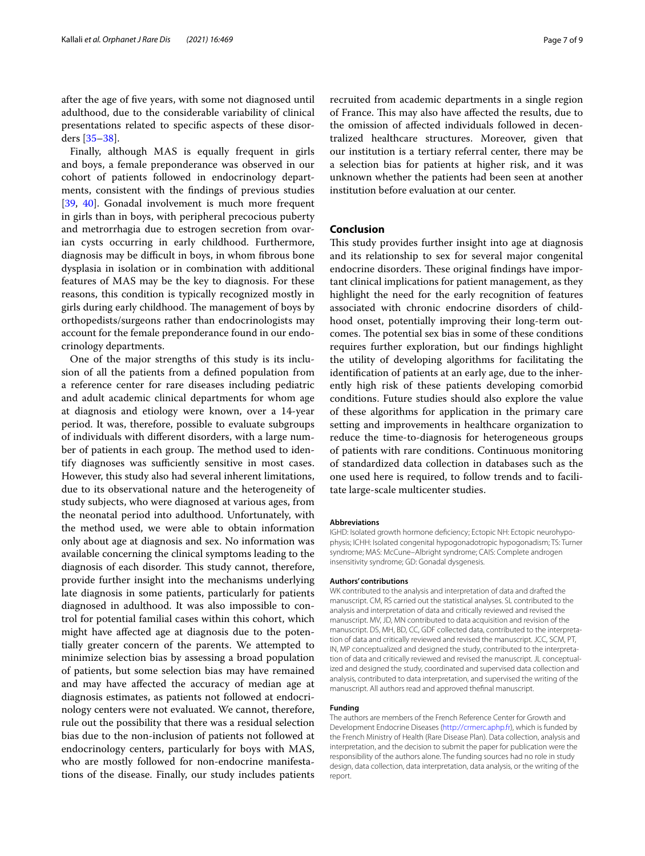after the age of fve years, with some not diagnosed until adulthood, due to the considerable variability of clinical presentations related to specifc aspects of these disorders [\[35](#page-8-6)[–38](#page-8-7)].

Finally, although MAS is equally frequent in girls and boys, a female preponderance was observed in our cohort of patients followed in endocrinology departments, consistent with the fndings of previous studies [[39,](#page-8-8) [40](#page-8-9)]. Gonadal involvement is much more frequent in girls than in boys, with peripheral precocious puberty and metrorrhagia due to estrogen secretion from ovarian cysts occurring in early childhood. Furthermore, diagnosis may be difcult in boys, in whom fbrous bone dysplasia in isolation or in combination with additional features of MAS may be the key to diagnosis. For these reasons, this condition is typically recognized mostly in girls during early childhood. The management of boys by orthopedists/surgeons rather than endocrinologists may account for the female preponderance found in our endocrinology departments.

One of the major strengths of this study is its inclusion of all the patients from a defned population from a reference center for rare diseases including pediatric and adult academic clinical departments for whom age at diagnosis and etiology were known, over a 14-year period. It was, therefore, possible to evaluate subgroups of individuals with diferent disorders, with a large number of patients in each group. The method used to identify diagnoses was sufficiently sensitive in most cases. However, this study also had several inherent limitations, due to its observational nature and the heterogeneity of study subjects, who were diagnosed at various ages, from the neonatal period into adulthood. Unfortunately, with the method used, we were able to obtain information only about age at diagnosis and sex. No information was available concerning the clinical symptoms leading to the diagnosis of each disorder. This study cannot, therefore, provide further insight into the mechanisms underlying late diagnosis in some patients, particularly for patients diagnosed in adulthood. It was also impossible to control for potential familial cases within this cohort, which might have afected age at diagnosis due to the potentially greater concern of the parents. We attempted to minimize selection bias by assessing a broad population of patients, but some selection bias may have remained and may have afected the accuracy of median age at diagnosis estimates, as patients not followed at endocrinology centers were not evaluated. We cannot, therefore, rule out the possibility that there was a residual selection bias due to the non-inclusion of patients not followed at endocrinology centers, particularly for boys with MAS, who are mostly followed for non-endocrine manifestations of the disease. Finally, our study includes patients recruited from academic departments in a single region of France. This may also have affected the results, due to the omission of afected individuals followed in decentralized healthcare structures. Moreover, given that our institution is a tertiary referral center, there may be a selection bias for patients at higher risk, and it was unknown whether the patients had been seen at another institution before evaluation at our center.

## **Conclusion**

This study provides further insight into age at diagnosis and its relationship to sex for several major congenital endocrine disorders. These original findings have important clinical implications for patient management, as they highlight the need for the early recognition of features associated with chronic endocrine disorders of childhood onset, potentially improving their long-term outcomes. The potential sex bias in some of these conditions requires further exploration, but our fndings highlight the utility of developing algorithms for facilitating the identifcation of patients at an early age, due to the inherently high risk of these patients developing comorbid conditions. Future studies should also explore the value of these algorithms for application in the primary care setting and improvements in healthcare organization to reduce the time-to-diagnosis for heterogeneous groups of patients with rare conditions. Continuous monitoring of standardized data collection in databases such as the one used here is required, to follow trends and to facilitate large-scale multicenter studies.

#### **Abbreviations**

IGHD: Isolated growth hormone deficiency; Ectopic NH: Ectopic neurohypophysis; ICHH: Isolated congenital hypogonadotropic hypogonadism; TS: Turner syndrome; MAS: McCune–Albright syndrome; CAIS: Complete androgen insensitivity syndrome; GD: Gonadal dysgenesis.

#### **Authors' contributions**

WK contributed to the analysis and interpretation of data and drafted the manuscript. CM, RS carried out the statistical analyses. SL contributed to the analysis and interpretation of data and critically reviewed and revised the manuscript. MV, JD, MN contributed to data acquisition and revision of the manuscript. DS, MH, BD, CC, GDF collected data, contributed to the interpretation of data and critically reviewed and revised the manuscript. JCC, SCM, PT, IN, MP conceptualized and designed the study, contributed to the interpretation of data and critically reviewed and revised the manuscript. JL conceptualized and designed the study, coordinated and supervised data collection and analysis, contributed to data interpretation, and supervised the writing of the manuscript. All authors read and approved thefnal manuscript.

#### **Funding**

The authors are members of the French Reference Center for Growth and Development Endocrine Diseases (<http://crmerc.aphp.fr>), which is funded by the French Ministry of Health (Rare Disease Plan). Data collection, analysis and interpretation, and the decision to submit the paper for publication were the responsibility of the authors alone. The funding sources had no role in study design, data collection, data interpretation, data analysis, or the writing of the report.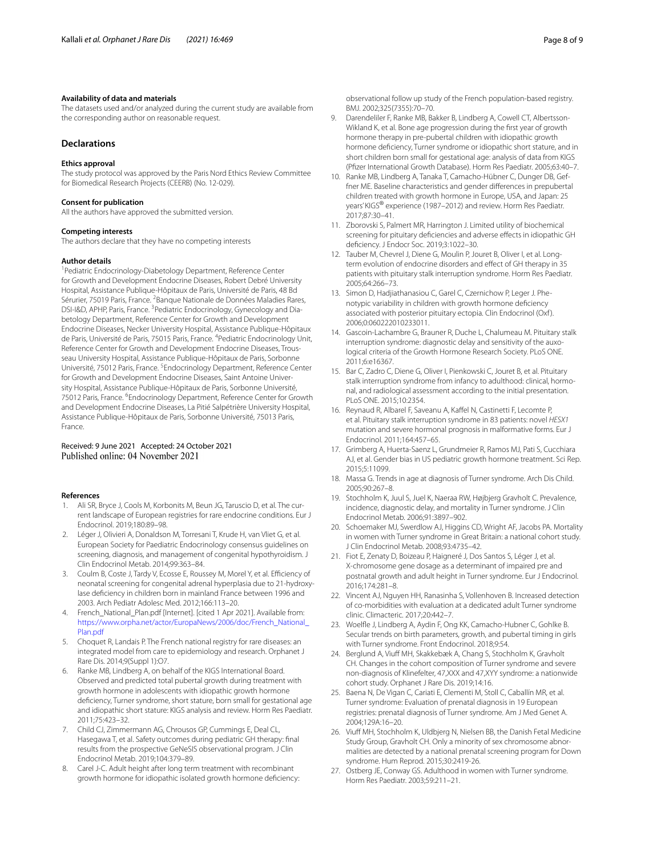#### **Availability of data and materials**

The datasets used and/or analyzed during the current study are available from the corresponding author on reasonable request.

## **Declarations**

#### **Ethics approval**

The study protocol was approved by the Paris Nord Ethics Review Committee for Biomedical Research Projects (CEERB) (No. 12-029).

#### **Consent for publication**

All the authors have approved the submitted version.

#### **Competing interests**

The authors declare that they have no competing interests

#### **Author details**

<sup>1</sup> Pediatric Endocrinology-Diabetology Department, Reference Center for Growth and Development Endocrine Diseases, Robert Debré University Hospital, Assistance Publique-Hôpitaux de Paris, Université de Paris, 48 Bd Sérurier, 75019 Paris, France. <sup>2</sup> Banque Nationale de Données Maladies Rares, DSI-I&D, APHP, Paris, France. <sup>3</sup> Pediatric Endocrinology, Gynecology and Diabetology Department, Reference Center for Growth and Development Endocrine Diseases, Necker University Hospital, Assistance Publique-Hôpitaux de Paris, Université de Paris, 75015 Paris, France. <sup>4</sup> Pediatric Endocrinology Unit, Reference Center for Growth and Development Endocrine Diseases, Trous‑ seau University Hospital, Assistance Publique-Hôpitaux de Paris, Sorbonne Université, 75012 Paris, France. <sup>5</sup> Endocrinology Department, Reference Center for Growth and Development Endocrine Diseases, Saint Antoine University Hospital, Assistance Publique-Hôpitaux de Paris, Sorbonne Université, 75012 Paris, France. <sup>6</sup> Endocrinology Department, Reference Center for Growth and Development Endocrine Diseases, La Pitié Salpétrière University Hospital, Assistance Publique-Hôpitaux de Paris, Sorbonne Université, 75013 Paris, France.

## Received: 9 June 2021 Accepted: 24 October 2021 Published online: 04 November 2021

#### **References**

- <span id="page-7-0"></span>1. Ali SR, Bryce J, Cools M, Korbonits M, Beun JG, Taruscio D, et al. The current landscape of European registries for rare endocrine conditions. Eur J Endocrinol. 2019;180:89–98.
- <span id="page-7-1"></span>2. Léger J, Olivieri A, Donaldson M, Torresani T, Krude H, van Vliet G, et al. European Society for Paediatric Endocrinology consensus guidelines on screening, diagnosis, and management of congenital hypothyroidism. J Clin Endocrinol Metab. 2014;99:363–84.
- <span id="page-7-2"></span>3. Coulm B, Coste J, Tardy V, Ecosse E, Roussey M, Morel Y, et al. Efficiency of neonatal screening for congenital adrenal hyperplasia due to 21-hydroxylase defciency in children born in mainland France between 1996 and 2003. Arch Pediatr Adolesc Med. 2012;166:113–20.
- <span id="page-7-3"></span>4. French\_National\_Plan.pdf [Internet]. [cited 1 Apr 2021]. Available from: [https://www.orpha.net/actor/EuropaNews/2006/doc/French\\_National\\_](https://www.orpha.net/actor/EuropaNews/2006/doc/French_National_Plan.pdf) [Plan.pdf](https://www.orpha.net/actor/EuropaNews/2006/doc/French_National_Plan.pdf)
- <span id="page-7-4"></span>5. Choquet R, Landais P. The French national registry for rare diseases: an integrated model from care to epidemiology and research. Orphanet J Rare Dis. 2014;9(Suppl 1):O7.
- <span id="page-7-5"></span>6. Ranke MB, Lindberg A, on behalf of the KIGS International Board. Observed and predicted total pubertal growth during treatment with growth hormone in adolescents with idiopathic growth hormone defciency, Turner syndrome, short stature, born small for gestational age and idiopathic short stature: KIGS analysis and review. Horm Res Paediatr. 2011;75:423–32.
- <span id="page-7-6"></span>7. Child CJ, Zimmermann AG, Chrousos GP, Cummings E, Deal CL, Hasegawa T, et al. Safety outcomes during pediatric GH therapy: fnal results from the prospective GeNeSIS observational program. J Clin Endocrinol Metab. 2019;104:379–89.
- <span id="page-7-7"></span>8. Carel J-C. Adult height after long term treatment with recombinant growth hormone for idiopathic isolated growth hormone defciency:

observational follow up study of the French population-based registry. BMJ. 2002;325(7355):70–70.

- <span id="page-7-11"></span>9. Darendeliler F, Ranke MB, Bakker B, Lindberg A, Cowell CT, Albertsson-Wikland K, et al. Bone age progression during the first year of growth hormone therapy in pre-pubertal children with idiopathic growth hormone defciency, Turner syndrome or idiopathic short stature, and in short children born small for gestational age: analysis of data from KIGS (Pfzer International Growth Database). Horm Res Paediatr. 2005;63:40–7.
- <span id="page-7-12"></span>10. Ranke MB, Lindberg A, Tanaka T, Camacho-Hübner C, Dunger DB, Geffner ME. Baseline characteristics and gender diferences in prepubertal children treated with growth hormone in Europe, USA, and Japan: 25 years' KIGS® experience (1987–2012) and review. Horm Res Paediatr. 2017;87:30–41.
- <span id="page-7-8"></span>11. Zborovski S, Palmert MR, Harrington J. Limited utility of biochemical screening for pituitary deficiencies and adverse effects in idiopathic GH defciency. J Endocr Soc. 2019;3:1022–30.
- <span id="page-7-9"></span>12. Tauber M, Chevrel J, Diene G, Moulin P, Jouret B, Oliver I, et al. Longterm evolution of endocrine disorders and effect of GH therapy in 35 patients with pituitary stalk interruption syndrome. Horm Res Paediatr. 2005;64:266–73.
- <span id="page-7-13"></span>13. Simon D, Hadjiathanasiou C, Garel C, Czernichow P, Leger J. Phenotypic variability in children with growth hormone defciency associated with posterior pituitary ectopia. Clin Endocrinol (Oxf). 2006;0:060222010233011.
- 14. Gascoin-Lachambre G, Brauner R, Duche L, Chalumeau M. Pituitary stalk interruption syndrome: diagnostic delay and sensitivity of the auxological criteria of the Growth Hormone Research Society. PLoS ONE. 2011;6:e16367.
- <span id="page-7-10"></span>15. Bar C, Zadro C, Diene G, Oliver I, Pienkowski C, Jouret B, et al. Pituitary stalk interruption syndrome from infancy to adulthood: clinical, hormonal, and radiological assessment according to the initial presentation. PLoS ONE. 2015;10:2354.
- <span id="page-7-14"></span>16. Reynaud R, Albarel F, Saveanu A, Kafel N, Castinetti F, Lecomte P, et al. Pituitary stalk interruption syndrome in 83 patients: novel *HESX1* mutation and severe hormonal prognosis in malformative forms. Eur J Endocrinol. 2011;164:457–65.
- <span id="page-7-15"></span>17. Grimberg A, Huerta-Saenz L, Grundmeier R, Ramos MJ, Pati S, Cucchiara AJ, et al. Gender bias in US pediatric growth hormone treatment. Sci Rep. 2015;5:11099.
- <span id="page-7-16"></span>18. Massa G. Trends in age at diagnosis of Turner syndrome. Arch Dis Child. 2005;90:267–8.
- 19. Stochholm K, Juul S, Juel K, Naeraa RW, Højbjerg Gravholt C. Prevalence, incidence, diagnostic delay, and mortality in Turner syndrome. J Clin Endocrinol Metab. 2006;91:3897–902.
- 20. Schoemaker MJ, Swerdlow AJ, Higgins CD, Wright AF, Jacobs PA. Mortality in women with Turner syndrome in Great Britain: a national cohort study. J Clin Endocrinol Metab. 2008;93:4735–42.
- 21. Fiot E, Zenaty D, Boizeau P, Haigneré J, Dos Santos S, Léger J, et al. X-chromosome gene dosage as a determinant of impaired pre and postnatal growth and adult height in Turner syndrome. Eur J Endocrinol. 2016;174:281–8.
- 22. Vincent AJ, Nguyen HH, Ranasinha S, Vollenhoven B. Increased detection of co-morbidities with evaluation at a dedicated adult Turner syndrome clinic. Climacteric. 2017;20:442–7.
- 23. Woelfle J, Lindberg A, Aydin F, Ong KK, Camacho-Hubner C, Gohlke B. Secular trends on birth parameters, growth, and pubertal timing in girls with Turner syndrome. Front Endocrinol. 2018;9:54.
- <span id="page-7-17"></span>24. Berglund A, Viuff MH, Skakkebæk A, Chang S, Stochholm K, Gravholt CH. Changes in the cohort composition of Turner syndrome and severe non-diagnosis of Klinefelter, 47,XXX and 47,XYY syndrome: a nationwide cohort study. Orphanet J Rare Dis. 2019;14:16.
- <span id="page-7-18"></span>25. Baena N, De Vigan C, Cariati E, Clementi M, Stoll C, Caballín MR, et al. Turner syndrome: Evaluation of prenatal diagnosis in 19 European registries: prenatal diagnosis of Turner syndrome. Am J Med Genet A. 2004;129A:16–20.
- <span id="page-7-19"></span>26. Viuff MH, Stochholm K, Uldbjerg N, Nielsen BB, the Danish Fetal Medicine Study Group, Gravholt CH. Only a minority of sex chromosome abnormalities are detected by a national prenatal screening program for Down syndrome. Hum Reprod. 2015;30:2419‑26.
- <span id="page-7-20"></span>27. Ostberg JE, Conway GS. Adulthood in women with Turner syndrome. Horm Res Paediatr. 2003;59:211–21.